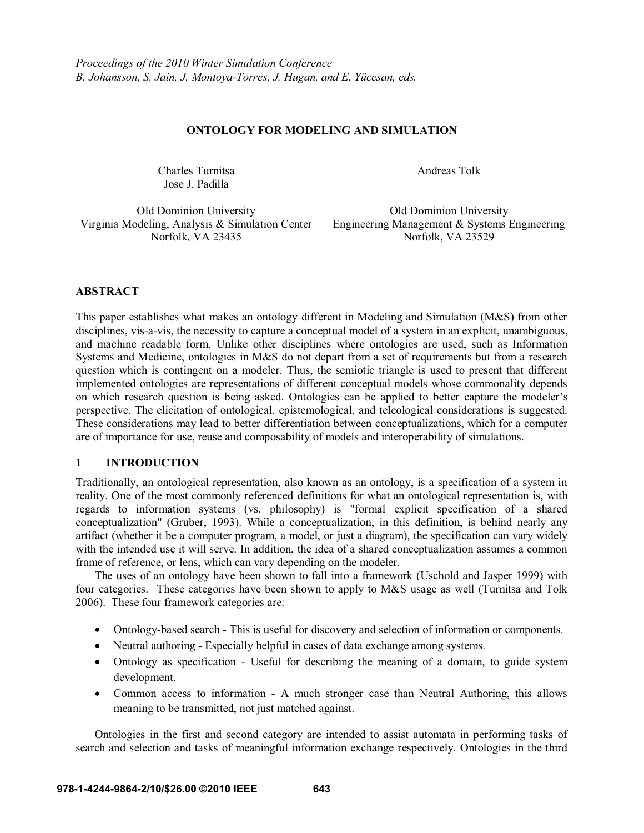## **ONTOLOGY FOR MODELING AND SIMULATION**

Charles Turnitsa Andreas Tolk Jose J. Padilla

Old Dominion University Old Dominion University Virginia Modeling, Analysis & Simulation Center Engineering Management & Systems Engineering

Norfolk, VA 23529

### **ABSTRACT**

This paper establishes what makes an ontology different in Modeling and Simulation (M&S) from other disciplines, vis-a-vis, the necessity to capture a conceptual model of a system in an explicit, unambiguous, and machine readable form. Unlike other disciplines where ontologies are used, such as Information Systems and Medicine, ontologies in M&S do not depart from a set of requirements but from a research question which is contingent on a modeler. Thus, the semiotic triangle is used to present that different implemented ontologies are representations of different conceptual models whose commonality depends on which research question is being asked. Ontologies can be applied to better capture the modeler's perspective. The elicitation of ontological, epistemological, and teleological considerations is suggested. These considerations may lead to better differentiation between conceptualizations, which for a computer are of importance for use, reuse and composability of models and interoperability of simulations.

# **1 INTRODUCTION**

Traditionally, an ontological representation, also known as an ontology, is a specification of a system in reality. One of the most commonly referenced definitions for what an ontological representation is, with regards to information systems (vs. philosophy) is "formal explicit specification of a shared conceptualization" (Gruber, 1993). While a conceptualization, in this definition, is behind nearly any artifact (whether it be a computer program, a model, or just a diagram), the specification can vary widely with the intended use it will serve. In addition, the idea of a shared conceptualization assumes a common frame of reference, or lens, which can vary depending on the modeler.

The uses of an ontology have been shown to fall into a framework (Uschold and Jasper 1999) with four categories. These categories have been shown to apply to M&S usage as well (Turnitsa and Tolk 2006). These four framework categories are:

- Ontology-based search This is useful for discovery and selection of information or components.
- Neutral authoring Especially helpful in cases of data exchange among systems.
- Ontology as specification Useful for describing the meaning of a domain, to guide system development.
- Common access to information A much stronger case than Neutral Authoring, this allows meaning to be transmitted, not just matched against.

Ontologies in the first and second category are intended to assist automata in performing tasks of search and selection and tasks of meaningful information exchange respectively. Ontologies in the third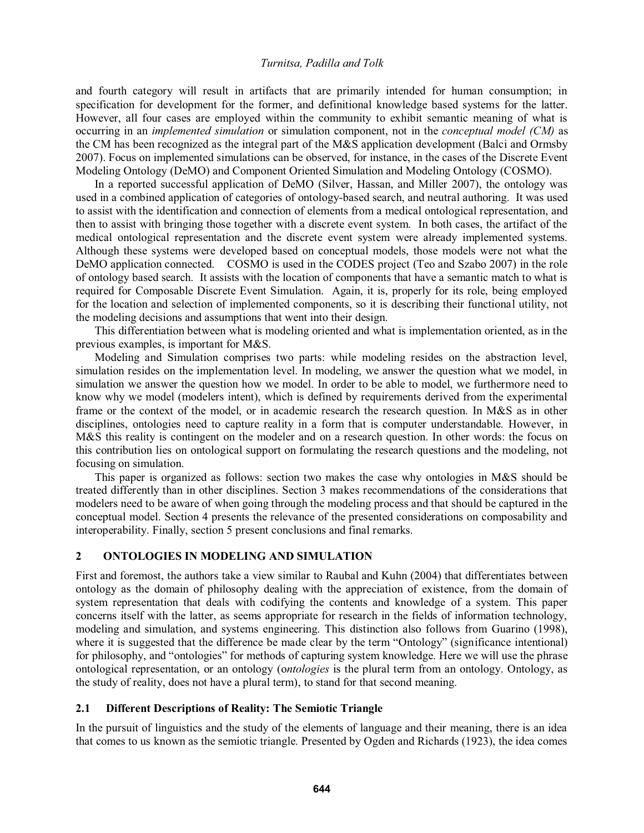and fourth category will result in artifacts that are primarily intended for human consumption; in specification for development for the former, and definitional knowledge based systems for the latter. However, all four cases are employed within the community to exhibit semantic meaning of what is occurring in an *implemented simulation* or simulation component, not in the *conceptual model (CM)* as the CM has been recognized as the integral part of the M&S application development (Balci and Ormsby 2007). Focus on implemented simulations can be observed, for instance, in the cases of the Discrete Event Modeling Ontology (DeMO) and Component Oriented Simulation and Modeling Ontology (COSMO).

In a reported successful application of DeMO (Silver, Hassan, and Miller 2007), the ontology was used in a combined application of categories of ontology-based search, and neutral authoring. It was used to assist with the identification and connection of elements from a medical ontological representation, and then to assist with bringing those together with a discrete event system. In both cases, the artifact of the medical ontological representation and the discrete event system were already implemented systems. Although these systems were developed based on conceptual models, those models were not what the DeMO application connected. COSMO is used in the CODES project (Teo and Szabo 2007) in the role of ontology based search. It assists with the location of components that have a semantic match to what is required for Composable Discrete Event Simulation. Again, it is, properly for its role, being employed for the location and selection of implemented components, so it is describing their functional utility, not the modeling decisions and assumptions that went into their design.

This differentiation between what is modeling oriented and what is implementation oriented, as in the previous examples, is important for M&S.

Modeling and Simulation comprises two parts: while modeling resides on the abstraction level, simulation resides on the implementation level. In modeling, we answer the question what we model, in simulation we answer the question how we model. In order to be able to model, we furthermore need to know why we model (modelers intent), which is defined by requirements derived from the experimental frame or the context of the model, or in academic research the research question. In M&S as in other disciplines, ontologies need to capture reality in a form that is computer understandable. However, in M&S this reality is contingent on the modeler and on a research question. In other words: the focus on this contribution lies on ontological support on formulating the research questions and the modeling, not focusing on simulation.

This paper is organized as follows: section two makes the case why ontologies in M&S should be treated differently than in other disciplines. Section 3 makes recommendations of the considerations that modelers need to be aware of when going through the modeling process and that should be captured in the conceptual model. Section 4 presents the relevance of the presented considerations on composability and interoperability. Finally, section 5 present conclusions and final remarks.

# **2 ONTOLOGIES IN MODELING AND SIMULATION**

First and foremost, the authors take a view similar to Raubal and Kuhn (2004) that differentiates between ontology as the domain of philosophy dealing with the appreciation of existence, from the domain of system representation that deals with codifying the contents and knowledge of a system. This paper concerns itself with the latter, as seems appropriate for research in the fields of information technology, modeling and simulation, and systems engineering. This distinction also follows from Guarino (1998), where it is suggested that the difference be made clear by the term "Ontology" (significance intentional) for philosophy, and "ontologies" for methods of capturing system knowledge. Here we will use the phrase ontological representation, or an ontology (o*ntologies* is the plural term from an ontology. Ontology, as the study of reality, does not have a plural term), to stand for that second meaning.

### **2.1 Different Descriptions of Reality: The Semiotic Triangle**

In the pursuit of linguistics and the study of the elements of language and their meaning, there is an idea that comes to us known as the semiotic triangle. Presented by Ogden and Richards (1923), the idea comes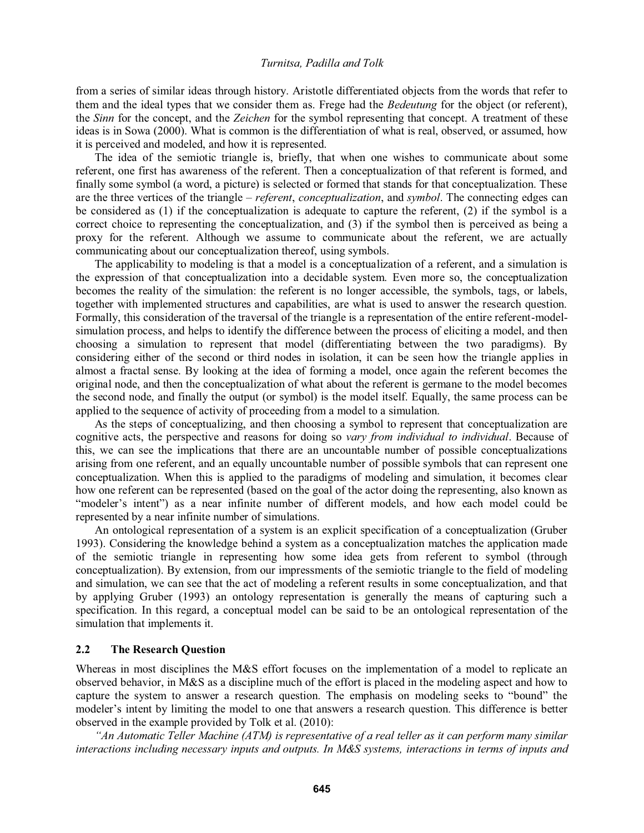from a series of similar ideas through history. Aristotle differentiated objects from the words that refer to them and the ideal types that we consider them as. Frege had the *Bedeutung* for the object (or referent), the *Sinn* for the concept, and the *Zeichen* for the symbol representing that concept. A treatment of these ideas is in Sowa (2000). What is common is the differentiation of what is real, observed, or assumed, how it is perceived and modeled, and how it is represented.

The idea of the semiotic triangle is, briefly, that when one wishes to communicate about some referent, one first has awareness of the referent. Then a conceptualization of that referent is formed, and finally some symbol (a word, a picture) is selected or formed that stands for that conceptualization. These are the three vertices of the triangle – *referent*, *conceptualization*, and *symbol*. The connecting edges can be considered as (1) if the conceptualization is adequate to capture the referent, (2) if the symbol is a correct choice to representing the conceptualization, and (3) if the symbol then is perceived as being a proxy for the referent. Although we assume to communicate about the referent, we are actually communicating about our conceptualization thereof, using symbols.

The applicability to modeling is that a model is a conceptualization of a referent, and a simulation is the expression of that conceptualization into a decidable system. Even more so, the conceptualization becomes the reality of the simulation: the referent is no longer accessible, the symbols, tags, or labels, together with implemented structures and capabilities, are what is used to answer the research question. Formally, this consideration of the traversal of the triangle is a representation of the entire referent-modelsimulation process, and helps to identify the difference between the process of eliciting a model, and then choosing a simulation to represent that model (differentiating between the two paradigms). By considering either of the second or third nodes in isolation, it can be seen how the triangle applies in almost a fractal sense. By looking at the idea of forming a model, once again the referent becomes the original node, and then the conceptualization of what about the referent is germane to the model becomes the second node, and finally the output (or symbol) is the model itself. Equally, the same process can be applied to the sequence of activity of proceeding from a model to a simulation.

As the steps of conceptualizing, and then choosing a symbol to represent that conceptualization are cognitive acts, the perspective and reasons for doing so *vary from individual to individual*. Because of this, we can see the implications that there are an uncountable number of possible conceptualizations arising from one referent, and an equally uncountable number of possible symbols that can represent one conceptualization. When this is applied to the paradigms of modeling and simulation, it becomes clear how one referent can be represented (based on the goal of the actor doing the representing, also known as "modeler's intent") as a near infinite number of different models, and how each model could be represented by a near infinite number of simulations.

An ontological representation of a system is an explicit specification of a conceptualization (Gruber 1993). Considering the knowledge behind a system as a conceptualization matches the application made of the semiotic triangle in representing how some idea gets from referent to symbol (through conceptualization). By extension, from our impressments of the semiotic triangle to the field of modeling and simulation, we can see that the act of modeling a referent results in some conceptualization, and that by applying Gruber (1993) an ontology representation is generally the means of capturing such a specification. In this regard, a conceptual model can be said to be an ontological representation of the simulation that implements it.

# **2.2 The Research Question**

Whereas in most disciplines the M&S effort focuses on the implementation of a model to replicate an observed behavior, in M&S as a discipline much of the effort is placed in the modeling aspect and how to capture the system to answer a research question. The emphasis on modeling seeks to "bound" the modeler's intent by limiting the model to one that answers a research question. This difference is better observed in the example provided by Tolk et al. (2010):

*-An Automatic Teller Machine (ATM) is representative of a real teller as it can perform many similar interactions including necessary inputs and outputs. In M&S systems, interactions in terms of inputs and*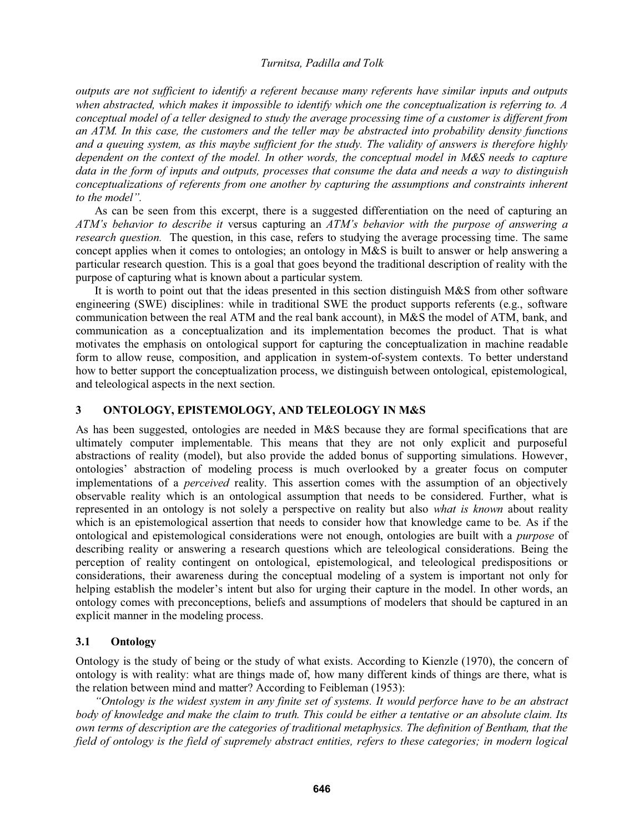*outputs are not sufficient to identify a referent because many referents have similar inputs and outputs when abstracted, which makes it impossible to identify which one the conceptualization is referring to. A conceptual model of a teller designed to study the average processing time of a customer is different from an ATM. In this case, the customers and the teller may be abstracted into probability density functions and a queuing system, as this maybe sufficient for the study. The validity of answers is therefore highly dependent on the context of the model. In other words, the conceptual model in M&S needs to capture data in the form of inputs and outputs, processes that consume the data and needs a way to distinguish conceptualizations of referents from one another by capturing the assumptions and constraints inherent to the model.*

As can be seen from this excerpt, there is a suggested differentiation on the need of capturing an *ATM's behavior to describe it versus capturing an <i>ATM's behavior with the purpose of answering a research question.* The question, in this case, refers to studying the average processing time. The same concept applies when it comes to ontologies; an ontology in M&S is built to answer or help answering a particular research question. This is a goal that goes beyond the traditional description of reality with the purpose of capturing what is known about a particular system.

It is worth to point out that the ideas presented in this section distinguish M&S from other software engineering (SWE) disciplines: while in traditional SWE the product supports referents (e.g., software communication between the real ATM and the real bank account), in M&S the model of ATM, bank, and communication as a conceptualization and its implementation becomes the product. That is what motivates the emphasis on ontological support for capturing the conceptualization in machine readable form to allow reuse, composition, and application in system-of-system contexts. To better understand how to better support the conceptualization process, we distinguish between ontological, epistemological, and teleological aspects in the next section.

# **3 ONTOLOGY, EPISTEMOLOGY, AND TELEOLOGY IN M&S**

As has been suggested, ontologies are needed in M&S because they are formal specifications that are ultimately computer implementable. This means that they are not only explicit and purposeful abstractions of reality (model), but also provide the added bonus of supporting simulations. However, ontologies' abstraction of modeling process is much overlooked by a greater focus on computer implementations of a *perceived* reality. This assertion comes with the assumption of an objectively observable reality which is an ontological assumption that needs to be considered. Further, what is represented in an ontology is not solely a perspective on reality but also *what is known* about reality which is an epistemological assertion that needs to consider how that knowledge came to be. As if the ontological and epistemological considerations were not enough, ontologies are built with a *purpose* of describing reality or answering a research questions which are teleological considerations. Being the perception of reality contingent on ontological, epistemological, and teleological predispositions or considerations, their awareness during the conceptual modeling of a system is important not only for helping establish the modeler's intent but also for urging their capture in the model. In other words, an ontology comes with preconceptions, beliefs and assumptions of modelers that should be captured in an explicit manner in the modeling process.

# **3.1 Ontology**

Ontology is the study of being or the study of what exists. According to Kienzle (1970), the concern of ontology is with reality: what are things made of, how many different kinds of things are there, what is the relation between mind and matter? According to Feibleman (1953):

*-Ontology is the widest system in any finite set of systems. It would perforce have to be an abstract body of knowledge and make the claim to truth. This could be either a tentative or an absolute claim. Its own terms of description are the categories of traditional metaphysics. The definition of Bentham, that the field of ontology is the field of supremely abstract entities, refers to these categories; in modern logical*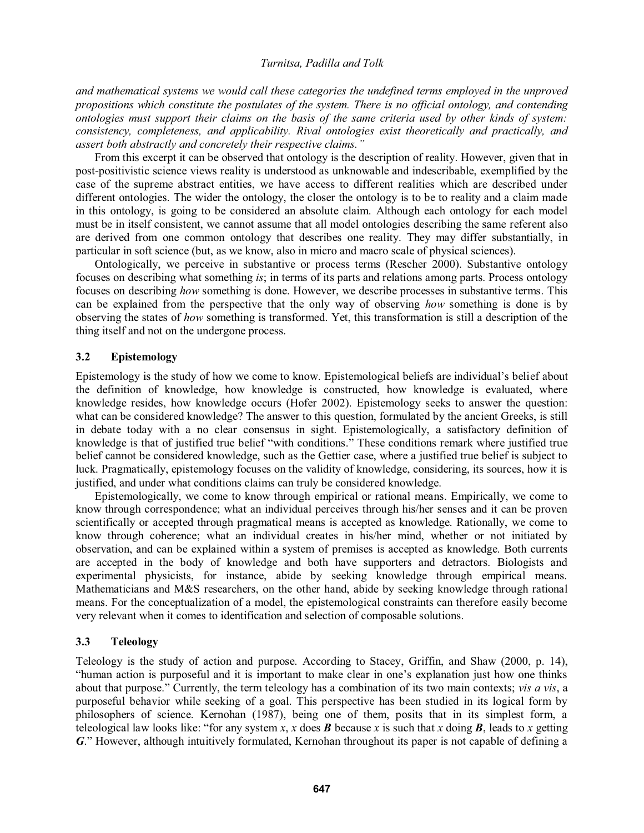*and mathematical systems we would call these categories the undefined terms employed in the unproved propositions which constitute the postulates of the system. There is no official ontology, and contending ontologies must support their claims on the basis of the same criteria used by other kinds of system: consistency, completeness, and applicability. Rival ontologies exist theoretically and practically, and assert both abstractly and concretely their respective claims.*

From this excerpt it can be observed that ontology is the description of reality. However, given that in post-positivistic science views reality is understood as unknowable and indescribable, exemplified by the case of the supreme abstract entities, we have access to different realities which are described under different ontologies. The wider the ontology, the closer the ontology is to be to reality and a claim made in this ontology, is going to be considered an absolute claim. Although each ontology for each model must be in itself consistent, we cannot assume that all model ontologies describing the same referent also are derived from one common ontology that describes one reality. They may differ substantially, in particular in soft science (but, as we know, also in micro and macro scale of physical sciences).

Ontologically, we perceive in substantive or process terms (Rescher 2000). Substantive ontology focuses on describing what something *is*; in terms of its parts and relations among parts. Process ontology focuses on describing *how* something is done. However, we describe processes in substantive terms. This can be explained from the perspective that the only way of observing *how* something is done is by observing the states of *how* something is transformed. Yet, this transformation is still a description of the thing itself and not on the undergone process.

# **3.2 Epistemology**

Epistemology is the study of how we come to know. Epistemological beliefs are individual's belief about the definition of knowledge, how knowledge is constructed, how knowledge is evaluated, where knowledge resides, how knowledge occurs (Hofer 2002). Epistemology seeks to answer the question: what can be considered knowledge? The answer to this question, formulated by the ancient Greeks, is still in debate today with a no clear consensus in sight. Epistemologically, a satisfactory definition of knowledge is that of justified true belief "with conditions." These conditions remark where justified true belief cannot be considered knowledge, such as the Gettier case, where a justified true belief is subject to luck. Pragmatically, epistemology focuses on the validity of knowledge, considering, its sources, how it is justified, and under what conditions claims can truly be considered knowledge.

Epistemologically, we come to know through empirical or rational means. Empirically, we come to know through correspondence; what an individual perceives through his/her senses and it can be proven scientifically or accepted through pragmatical means is accepted as knowledge. Rationally, we come to know through coherence; what an individual creates in his/her mind, whether or not initiated by observation, and can be explained within a system of premises is accepted as knowledge. Both currents are accepted in the body of knowledge and both have supporters and detractors. Biologists and experimental physicists, for instance, abide by seeking knowledge through empirical means. Mathematicians and M&S researchers, on the other hand, abide by seeking knowledge through rational means. For the conceptualization of a model, the epistemological constraints can therefore easily become very relevant when it comes to identification and selection of composable solutions.

# **3.3 Teleology**

Teleology is the study of action and purpose. According to Stacey, Griffin, and Shaw (2000, p. 14), "human action is purposeful and it is important to make clear in one's explanation just how one thinks about that purpose." Currently, the term teleology has a combination of its two main contexts; *vis a vis*, a purposeful behavior while seeking of a goal. This perspective has been studied in its logical form by philosophers of science. Kernohan (1987), being one of them, posits that in its simplest form, a teleological law looks like: "for any system x, x does **B** because x is such that x doing **B**, leads to x getting G." However, although intuitively formulated, Kernohan throughout its paper is not capable of defining a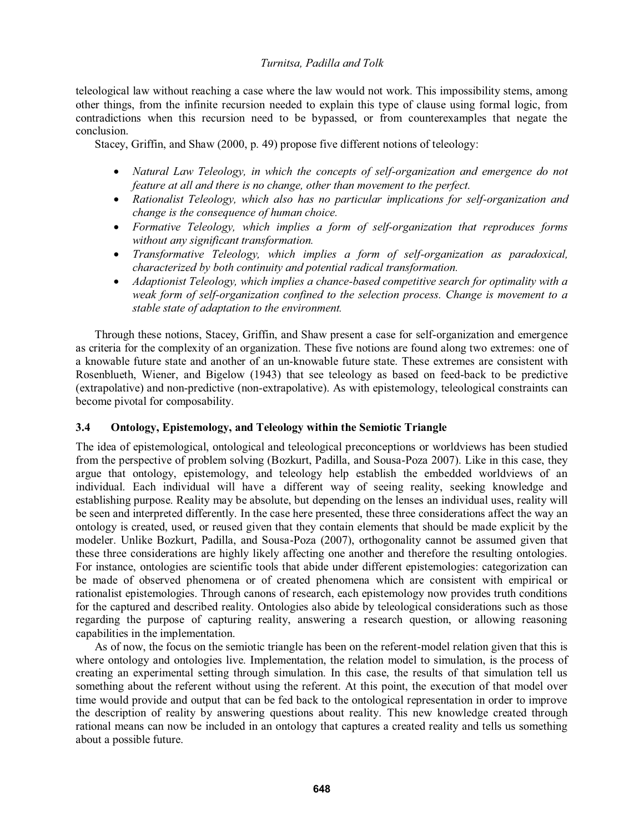teleological law without reaching a case where the law would not work. This impossibility stems, among other things, from the infinite recursion needed to explain this type of clause using formal logic, from contradictions when this recursion need to be bypassed, or from counterexamples that negate the conclusion.

Stacey, Griffin, and Shaw (2000, p. 49) propose five different notions of teleology:

- Natural Law Teleology, in which the concepts of self-organization and emergence do not *feature at all and there is no change, other than movement to the perfect.*
- *Rationalist Teleology, which also has no particular implications for self-organization and change is the consequence of human choice.*
- *Formative Teleology, which implies a form of self-organization that reproduces forms without any significant transformation.*
- *Transformative Teleology, which implies a form of self-organization as paradoxical, characterized by both continuity and potential radical transformation.*
- *Adaptionist Teleology, which implies a chance-based competitive search for optimality with a weak form of self-organization confined to the selection process. Change is movement to a stable state of adaptation to the environment.*

Through these notions, Stacey, Griffin, and Shaw present a case for self-organization and emergence as criteria for the complexity of an organization. These five notions are found along two extremes: one of a knowable future state and another of an un-knowable future state. These extremes are consistent with Rosenblueth, Wiener, and Bigelow (1943) that see teleology as based on feed-back to be predictive (extrapolative) and non-predictive (non-extrapolative). As with epistemology, teleological constraints can become pivotal for composability.

# **3.4 Ontology, Epistemology, and Teleology within the Semiotic Triangle**

The idea of epistemological, ontological and teleological preconceptions or worldviews has been studied from the perspective of problem solving (Bozkurt, Padilla, and Sousa-Poza 2007). Like in this case, they argue that ontology, epistemology, and teleology help establish the embedded worldviews of an individual. Each individual will have a different way of seeing reality, seeking knowledge and establishing purpose. Reality may be absolute, but depending on the lenses an individual uses, reality will be seen and interpreted differently. In the case here presented, these three considerations affect the way an ontology is created, used, or reused given that they contain elements that should be made explicit by the modeler. Unlike Bozkurt, Padilla, and Sousa-Poza (2007), orthogonality cannot be assumed given that these three considerations are highly likely affecting one another and therefore the resulting ontologies. For instance, ontologies are scientific tools that abide under different epistemologies: categorization can be made of observed phenomena or of created phenomena which are consistent with empirical or rationalist epistemologies. Through canons of research, each epistemology now provides truth conditions for the captured and described reality. Ontologies also abide by teleological considerations such as those regarding the purpose of capturing reality, answering a research question, or allowing reasoning capabilities in the implementation.

As of now, the focus on the semiotic triangle has been on the referent-model relation given that this is where ontology and ontologies live. Implementation, the relation model to simulation, is the process of creating an experimental setting through simulation. In this case, the results of that simulation tell us something about the referent without using the referent. At this point, the execution of that model over time would provide and output that can be fed back to the ontological representation in order to improve the description of reality by answering questions about reality. This new knowledge created through rational means can now be included in an ontology that captures a created reality and tells us something about a possible future.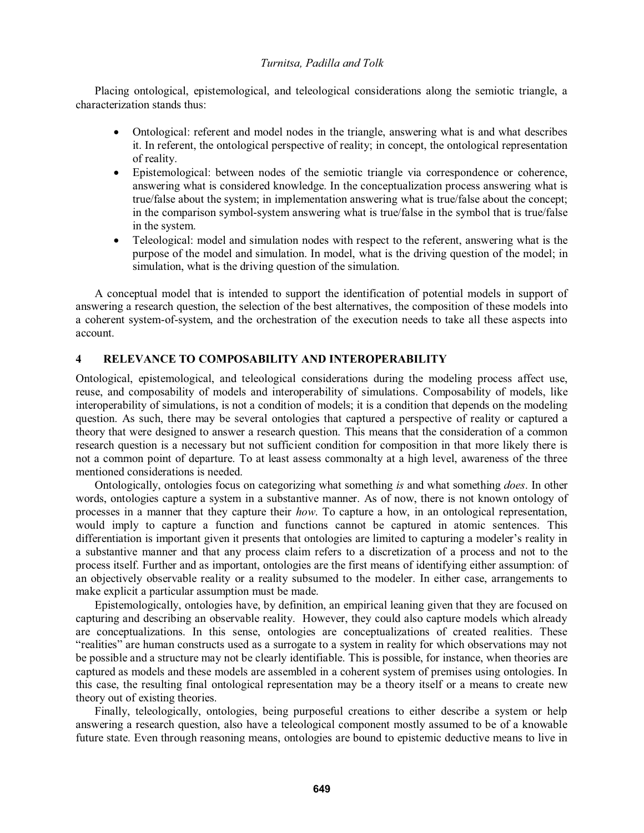Placing ontological, epistemological, and teleological considerations along the semiotic triangle, a characterization stands thus:

- Ontological: referent and model nodes in the triangle, answering what is and what describes it. In referent, the ontological perspective of reality; in concept, the ontological representation of reality.
- Epistemological: between nodes of the semiotic triangle via correspondence or coherence, answering what is considered knowledge. In the conceptualization process answering what is true/false about the system; in implementation answering what is true/false about the concept; in the comparison symbol-system answering what is true/false in the symbol that is true/false in the system.
- $\bullet$  Teleological: model and simulation nodes with respect to the referent, answering what is the purpose of the model and simulation. In model, what is the driving question of the model; in simulation, what is the driving question of the simulation.

A conceptual model that is intended to support the identification of potential models in support of answering a research question, the selection of the best alternatives, the composition of these models into a coherent system-of-system, and the orchestration of the execution needs to take all these aspects into account.

# **4 RELEVANCE TO COMPOSABILITY AND INTEROPERABILITY**

Ontological, epistemological, and teleological considerations during the modeling process affect use, reuse, and composability of models and interoperability of simulations. Composability of models, like interoperability of simulations, is not a condition of models; it is a condition that depends on the modeling question. As such, there may be several ontologies that captured a perspective of reality or captured a theory that were designed to answer a research question. This means that the consideration of a common research question is a necessary but not sufficient condition for composition in that more likely there is not a common point of departure. To at least assess commonalty at a high level, awareness of the three mentioned considerations is needed.

Ontologically, ontologies focus on categorizing what something *is* and what something *does*. In other words, ontologies capture a system in a substantive manner. As of now, there is not known ontology of processes in a manner that they capture their *how*. To capture a how, in an ontological representation, would imply to capture a function and functions cannot be captured in atomic sentences. This differentiation is important given it presents that ontologies are limited to capturing a modeler's reality in a substantive manner and that any process claim refers to a discretization of a process and not to the process itself. Further and as important, ontologies are the first means of identifying either assumption: of an objectively observable reality or a reality subsumed to the modeler. In either case, arrangements to make explicit a particular assumption must be made.

Epistemologically, ontologies have, by definition, an empirical leaning given that they are focused on capturing and describing an observable reality. However, they could also capture models which already are conceptualizations. In this sense, ontologies are conceptualizations of created realities. These "realities" are human constructs used as a surrogate to a system in reality for which observations may not be possible and a structure may not be clearly identifiable. This is possible, for instance, when theories are captured as models and these models are assembled in a coherent system of premises using ontologies. In this case, the resulting final ontological representation may be a theory itself or a means to create new theory out of existing theories.

Finally, teleologically, ontologies, being purposeful creations to either describe a system or help answering a research question, also have a teleological component mostly assumed to be of a knowable future state. Even through reasoning means, ontologies are bound to epistemic deductive means to live in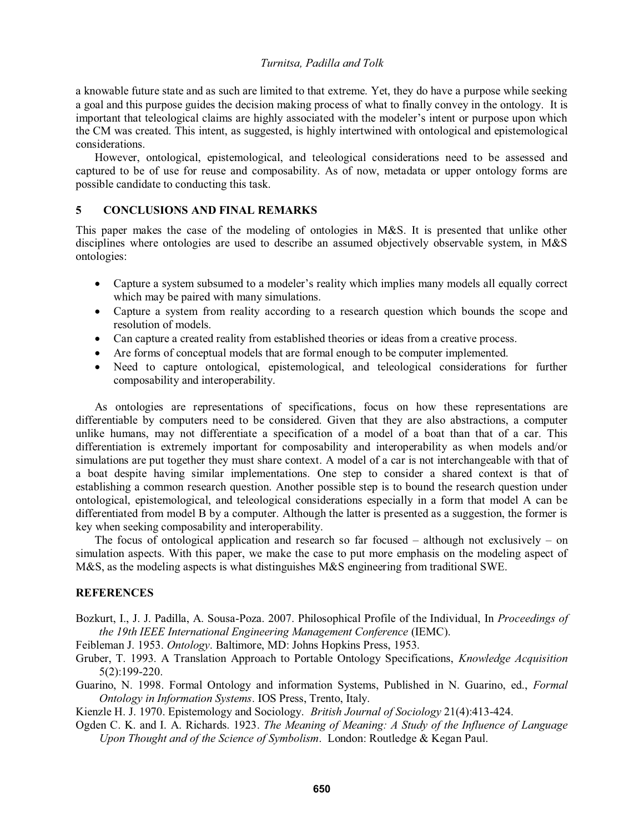a knowable future state and as such are limited to that extreme. Yet, they do have a purpose while seeking a goal and this purpose guides the decision making process of what to finally convey in the ontology. It is important that teleological claims are highly associated with the modeler's intent or purpose upon which the CM was created. This intent, as suggested, is highly intertwined with ontological and epistemological considerations.

However, ontological, epistemological, and teleological considerations need to be assessed and captured to be of use for reuse and composability. As of now, metadata or upper ontology forms are possible candidate to conducting this task.

# **5 CONCLUSIONS AND FINAL REMARKS**

This paper makes the case of the modeling of ontologies in M&S. It is presented that unlike other disciplines where ontologies are used to describe an assumed objectively observable system, in M&S ontologies:

- Capture a system subsumed to a modeler's reality which implies many models all equally correct which may be paired with many simulations.
- Capture a system from reality according to a research question which bounds the scope and resolution of models.
- Can capture a created reality from established theories or ideas from a creative process.
- Are forms of conceptual models that are formal enough to be computer implemented.
- Need to capture ontological, epistemological, and teleological considerations for further composability and interoperability.

As ontologies are representations of specifications, focus on how these representations are differentiable by computers need to be considered. Given that they are also abstractions, a computer unlike humans, may not differentiate a specification of a model of a boat than that of a car. This differentiation is extremely important for composability and interoperability as when models and/or simulations are put together they must share context. A model of a car is not interchangeable with that of a boat despite having similar implementations. One step to consider a shared context is that of establishing a common research question. Another possible step is to bound the research question under ontological, epistemological, and teleological considerations especially in a form that model A can be differentiated from model B by a computer. Although the latter is presented as a suggestion, the former is key when seeking composability and interoperability.

The focus of ontological application and research so far focused  $-$  although not exclusively  $-$  on simulation aspects. With this paper, we make the case to put more emphasis on the modeling aspect of M&S, as the modeling aspects is what distinguishes M&S engineering from traditional SWE.

### **REFERENCES**

- Bozkurt, I., J. J. Padilla, A. Sousa-Poza. 2007. Philosophical Profile of the Individual, In *Proceedings of the 19th IEEE International Engineering Management Conference* (IEMC).
- Feibleman J. 1953. *Ontology*. Baltimore, MD: Johns Hopkins Press, 1953.
- Gruber, T. 1993. A Translation Approach to Portable Ontology Specifications, *Knowledge Acquisition* 5(2):199-220.
- Guarino, N. 1998. Formal Ontology and information Systems, Published in N. Guarino, ed., *Formal Ontology in Information Systems*. IOS Press, Trento, Italy.

Kienzle H. J. 1970. Epistemology and Sociology. *British Journal of Sociology* 21(4):413-424.

Ogden C. K. and I. A. Richards. 1923. *The Meaning of Meaning: A Study of the Influence of Language Upon Thought and of the Science of Symbolism*. London: Routledge & Kegan Paul.